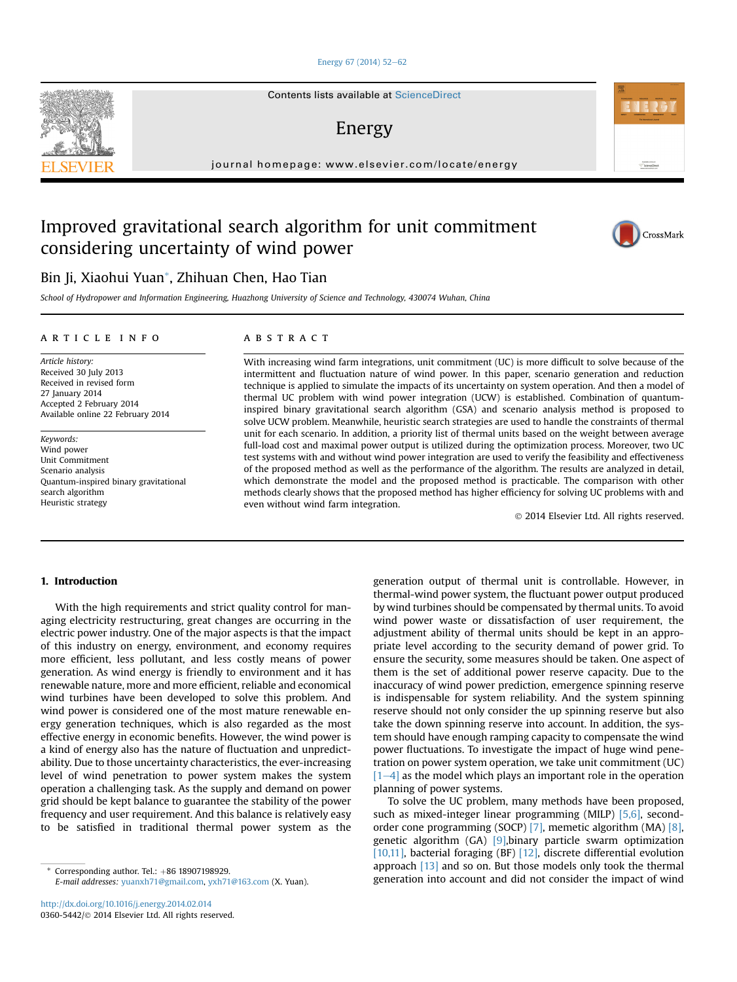#### [Energy 67 \(2014\) 52](http://dx.doi.org/10.1016/j.energy.2014.02.014)-[62](http://dx.doi.org/10.1016/j.energy.2014.02.014)

Contents lists available at ScienceDirect

### Energy

journal homepage: [www.elsevier.com/locate/energy](http://www.elsevier.com/locate/energy)

## Improved gravitational search algorithm for unit commitment considering uncertainty of wind power



School of Hydropower and Information Engineering, Huazhong University of Science and Technology, 430074 Wuhan, China

#### article info

Article history: Received 30 July 2013 Received in revised form 27 January 2014 Accepted 2 February 2014 Available online 22 February 2014

Keywords: Wind power Unit Commitment Scenario analysis Quantum-inspired binary gravitational search algorithm Heuristic strategy

#### **ABSTRACT**

With increasing wind farm integrations, unit commitment (UC) is more difficult to solve because of the intermittent and fluctuation nature of wind power. In this paper, scenario generation and reduction technique is applied to simulate the impacts of its uncertainty on system operation. And then a model of thermal UC problem with wind power integration (UCW) is established. Combination of quantuminspired binary gravitational search algorithm (GSA) and scenario analysis method is proposed to solve UCW problem. Meanwhile, heuristic search strategies are used to handle the constraints of thermal unit for each scenario. In addition, a priority list of thermal units based on the weight between average full-load cost and maximal power output is utilized during the optimization process. Moreover, two UC test systems with and without wind power integration are used to verify the feasibility and effectiveness of the proposed method as well as the performance of the algorithm. The results are analyzed in detail, which demonstrate the model and the proposed method is practicable. The comparison with other methods clearly shows that the proposed method has higher efficiency for solving UC problems with and even without wind farm integration.

2014 Elsevier Ltd. All rights reserved.

#### 1. Introduction

With the high requirements and strict quality control for managing electricity restructuring, great changes are occurring in the electric power industry. One of the major aspects is that the impact of this industry on energy, environment, and economy requires more efficient, less pollutant, and less costly means of power generation. As wind energy is friendly to environment and it has renewable nature, more and more efficient, reliable and economical wind turbines have been developed to solve this problem. And wind power is considered one of the most mature renewable energy generation techniques, which is also regarded as the most effective energy in economic benefits. However, the wind power is a kind of energy also has the nature of fluctuation and unpredictability. Due to those uncertainty characteristics, the ever-increasing level of wind penetration to power system makes the system operation a challenging task. As the supply and demand on power grid should be kept balance to guarantee the stability of the power frequency and user requirement. And this balance is relatively easy to be satisfied in traditional thermal power system as the

E-mail addresses: [yuanxh71@gmail.com,](mailto:yuanxh71@gmail.com) [yxh71@163.com](mailto:yxh71@163.com) (X. Yuan).

generation output of thermal unit is controllable. However, in thermal-wind power system, the fluctuant power output produced by wind turbines should be compensated by thermal units. To avoid wind power waste or dissatisfaction of user requirement, the adjustment ability of thermal units should be kept in an appropriate level according to the security demand of power grid. To ensure the security, some measures should be taken. One aspect of them is the set of additional power reserve capacity. Due to the inaccuracy of wind power prediction, emergence spinning reserve is indispensable for system reliability. And the system spinning reserve should not only consider the up spinning reserve but also take the down spinning reserve into account. In addition, the system should have enough ramping capacity to compensate the wind power fluctuations. To investigate the impact of huge wind penetration on power system operation, we take unit commitment (UC)  $[1-4]$  as the model which plays an important role in the operation planning of power systems.

To solve the UC problem, many methods have been proposed, such as mixed-integer linear programming (MILP) [5,6], secondorder cone programming (SOCP) [7], memetic algorithm (MA) [8], genetic algorithm (GA) [9],binary particle swarm optimization [10,11], bacterial foraging (BF) [12], discrete differential evolution approach [13] and so on. But those models only took the thermal Gorresponding author. Tel.: +86 18907198929.<br>E-mail addresses: vuanxh71@gmail.com. vxh71@163.com (X. Yuan). generation into account and did not consider the impact of wind





Automotive at<br>ScienceDires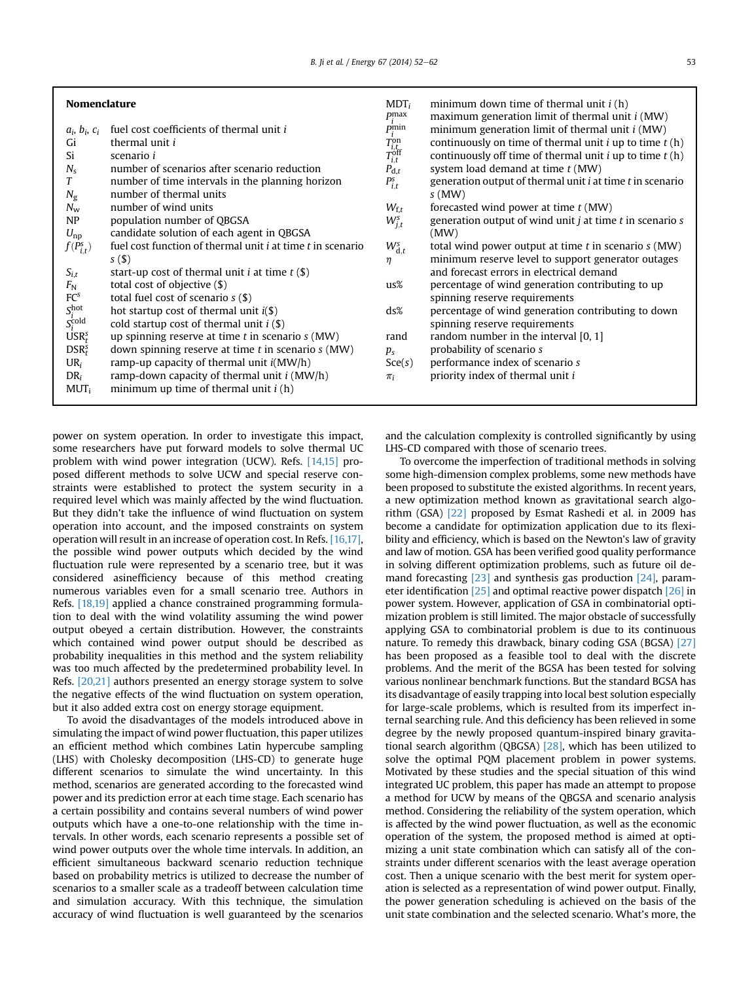| Nomenclature                                                                                                                                                            |                                                                                                                                                                                                                                                                                                                                                                                                                                                                                                              |  |
|-------------------------------------------------------------------------------------------------------------------------------------------------------------------------|--------------------------------------------------------------------------------------------------------------------------------------------------------------------------------------------------------------------------------------------------------------------------------------------------------------------------------------------------------------------------------------------------------------------------------------------------------------------------------------------------------------|--|
| $a_i$ , $b_i$ , $c_i$<br>Gi<br>Si<br>$N_{\rm s}$<br>T<br>$N_{\rm g}$<br>$N_{\rm w}$<br>NP<br>$U_{\text{np}}$<br>$f(P_{i,t}^s)$                                          | fuel cost coefficients of thermal unit i<br>thermal unit i<br>scenario <i>i</i><br>number of scenarios after scenario reduction<br>number of time intervals in the planning horizon<br>number of thermal units<br>number of wind units<br>population number of QBGSA<br>candidate solution of each agent in QBGSA<br>fuel cost function of thermal unit <i>i</i> at time <i>t</i> in scenario                                                                                                                |  |
| $S_{i,t}$<br>$F_{\rm N}$<br>FC <sup>s</sup><br>$S_i^{\text{hot}}$<br>$S_i^{\text{cold}}$<br>$USR_t^s$<br>$DSR_t^{\overline{S}}$<br>$UR_i$<br>DR <sub>i</sub><br>$MUT_i$ | $s($ \$)<br>start-up cost of thermal unit <i>i</i> at time $t$ (\$)<br>total cost of objective (\$)<br>total fuel cost of scenario $s$ ( $\$\$ )<br>hot startup cost of thermal unit $i(\text{\$})$<br>cold startup cost of thermal unit $i$ (\$)<br>up spinning reserve at time $t$ in scenario $s$ (MW)<br>down spinning reserve at time $t$ in scenario $s$ (MW)<br>ramp-up capacity of thermal unit $i(MW/h)$<br>ramp-down capacity of thermal unit $i$ (MW/h)<br>minimum up time of thermal unit $i(h)$ |  |

power on system operation. In order to investigate this impact, some researchers have put forward models to solve thermal UC problem with wind power integration (UCW). Refs. [14,15] proposed different methods to solve UCW and special reserve constraints were established to protect the system security in a required level which was mainly affected by the wind fluctuation. But they didn't take the influence of wind fluctuation on system operation into account, and the imposed constraints on system operation will result in an increase of operation cost. In Refs. [16,17], the possible wind power outputs which decided by the wind fluctuation rule were represented by a scenario tree, but it was considered asinefficiency because of this method creating numerous variables even for a small scenario tree. Authors in Refs. [18,19] applied a chance constrained programming formulation to deal with the wind volatility assuming the wind power output obeyed a certain distribution. However, the constraints which contained wind power output should be described as probability inequalities in this method and the system reliability was too much affected by the predetermined probability level. In Refs. [20,21] authors presented an energy storage system to solve the negative effects of the wind fluctuation on system operation, but it also added extra cost on energy storage equipment.

To avoid the disadvantages of the models introduced above in simulating the impact of wind power fluctuation, this paper utilizes an efficient method which combines Latin hypercube sampling (LHS) with Cholesky decomposition (LHS-CD) to generate huge different scenarios to simulate the wind uncertainty. In this method, scenarios are generated according to the forecasted wind power and its prediction error at each time stage. Each scenario has a certain possibility and contains several numbers of wind power outputs which have a one-to-one relationship with the time intervals. In other words, each scenario represents a possible set of wind power outputs over the whole time intervals. In addition, an efficient simultaneous backward scenario reduction technique based on probability metrics is utilized to decrease the number of scenarios to a smaller scale as a tradeoff between calculation time and simulation accuracy. With this technique, the simulation accuracy of wind fluctuation is well guaranteed by the scenarios

| $MDT_i$<br>$\begin{array}{l} P_i^{\max} \\ P_i^{\min} \\ T_{i,t}^{\min} \\ T_{i,t}^{\inf} \\ P_{\mathrm{d},t} \end{array}$<br>$P_{i,t}^s$ | minimum down time of thermal unit $i(h)$<br>maximum generation limit of thermal unit $i$ (MW)<br>minimum generation limit of thermal unit $i$ (MW)<br>continuously on time of thermal unit $i$ up to time $t(h)$<br>continuously off time of thermal unit $i$ up to time $t(h)$<br>system load demand at time t (MW)<br>generation output of thermal unit <i>i</i> at time <i>t</i> in scenario<br>$s$ (MW) |
|-------------------------------------------------------------------------------------------------------------------------------------------|-------------------------------------------------------------------------------------------------------------------------------------------------------------------------------------------------------------------------------------------------------------------------------------------------------------------------------------------------------------------------------------------------------------|
| $W_{\mathrm{f},t}$                                                                                                                        | forecasted wind power at time t (MW)                                                                                                                                                                                                                                                                                                                                                                        |
| $W_{i,t}^s$                                                                                                                               | generation output of wind unit <i>j</i> at time <i>t</i> in scenario <i>s</i><br>(MW)                                                                                                                                                                                                                                                                                                                       |
| $W_{\mathrm{d},t}^{\mathrm{s}}$                                                                                                           | total wind power output at time $t$ in scenario $s$ (MW)                                                                                                                                                                                                                                                                                                                                                    |
| η                                                                                                                                         | minimum reserve level to support generator outages                                                                                                                                                                                                                                                                                                                                                          |
|                                                                                                                                           | and forecast errors in electrical demand                                                                                                                                                                                                                                                                                                                                                                    |
| us%                                                                                                                                       | percentage of wind generation contributing to up                                                                                                                                                                                                                                                                                                                                                            |
|                                                                                                                                           | spinning reserve requirements                                                                                                                                                                                                                                                                                                                                                                               |
| $ds\%$                                                                                                                                    | percentage of wind generation contributing to down                                                                                                                                                                                                                                                                                                                                                          |
|                                                                                                                                           | spinning reserve requirements                                                                                                                                                                                                                                                                                                                                                                               |
| rand                                                                                                                                      | random number in the interval [0, 1]                                                                                                                                                                                                                                                                                                                                                                        |
| $p_{s}$                                                                                                                                   | probability of scenario s                                                                                                                                                                                                                                                                                                                                                                                   |
| Sce(s)                                                                                                                                    | performance index of scenario s                                                                                                                                                                                                                                                                                                                                                                             |
| $\pi_i$                                                                                                                                   | priority index of thermal unit i                                                                                                                                                                                                                                                                                                                                                                            |
|                                                                                                                                           |                                                                                                                                                                                                                                                                                                                                                                                                             |

and the calculation complexity is controlled significantly by using LHS-CD compared with those of scenario trees.

To overcome the imperfection of traditional methods in solving some high-dimension complex problems, some new methods have been proposed to substitute the existed algorithms. In recent years, a new optimization method known as gravitational search algorithm (GSA) [22] proposed by Esmat Rashedi et al. in 2009 has become a candidate for optimization application due to its flexibility and efficiency, which is based on the Newton's law of gravity and law of motion. GSA has been verified good quality performance in solving different optimization problems, such as future oil demand forecasting [23] and synthesis gas production [24], parameter identification  $[25]$  and optimal reactive power dispatch  $[26]$  in power system. However, application of GSA in combinatorial optimization problem is still limited. The major obstacle of successfully applying GSA to combinatorial problem is due to its continuous nature. To remedy this drawback, binary coding GSA (BGSA) [27] has been proposed as a feasible tool to deal with the discrete problems. And the merit of the BGSA has been tested for solving various nonlinear benchmark functions. But the standard BGSA has its disadvantage of easily trapping into local best solution especially for large-scale problems, which is resulted from its imperfect internal searching rule. And this deficiency has been relieved in some degree by the newly proposed quantum-inspired binary gravitational search algorithm (QBGSA) [28], which has been utilized to solve the optimal PQM placement problem in power systems. Motivated by these studies and the special situation of this wind integrated UC problem, this paper has made an attempt to propose a method for UCW by means of the QBGSA and scenario analysis method. Considering the reliability of the system operation, which is affected by the wind power fluctuation, as well as the economic operation of the system, the proposed method is aimed at optimizing a unit state combination which can satisfy all of the constraints under different scenarios with the least average operation cost. Then a unique scenario with the best merit for system operation is selected as a representation of wind power output. Finally, the power generation scheduling is achieved on the basis of the unit state combination and the selected scenario. What's more, the